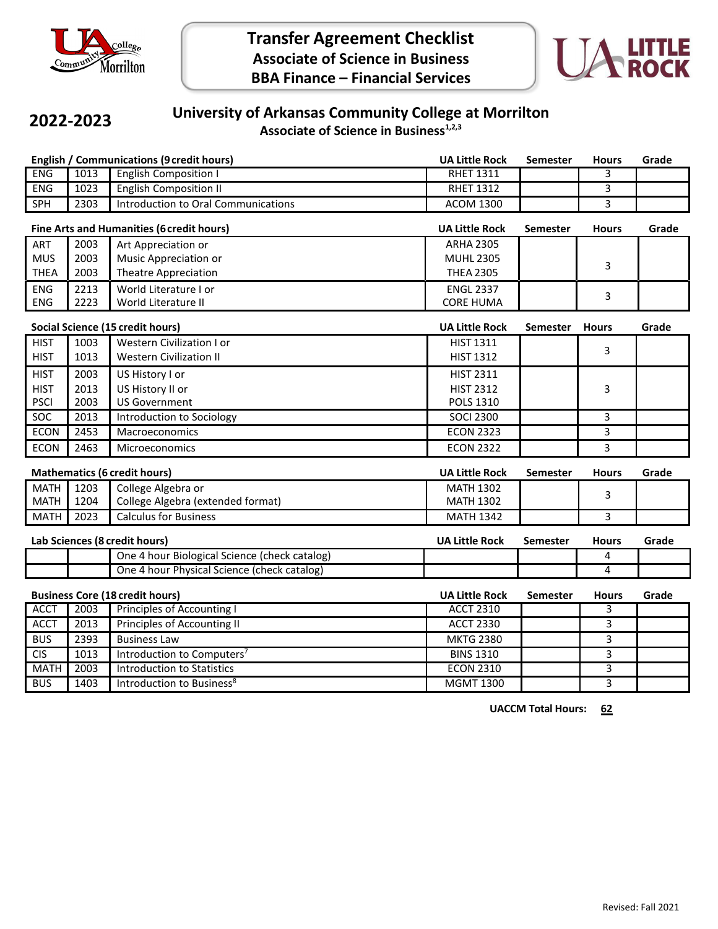



### **2022-2023**

# **University of Arkansas Community College at Morrilton**

**Associate of Science in Business1,2,3**

|                                                  |                            | <b>English / Communications (9 credit hours)</b> | <b>UA Little Rock</b> | <b>Semester</b> | <b>Hours</b> | Grade |
|--------------------------------------------------|----------------------------|--------------------------------------------------|-----------------------|-----------------|--------------|-------|
| <b>ENG</b>                                       | 1013                       | <b>English Composition I</b>                     | <b>RHET 1311</b>      |                 | 3            |       |
| ENG                                              | 1023                       | <b>English Composition II</b>                    | <b>RHET 1312</b>      |                 | 3            |       |
| SPH                                              | 2303                       | Introduction to Oral Communications              | <b>ACOM 1300</b>      |                 | 3            |       |
| <b>Fine Arts and Humanities (6 credit hours)</b> |                            |                                                  | <b>UA Little Rock</b> | <b>Semester</b> | <b>Hours</b> | Grade |
| ART                                              | 2003                       | Art Appreciation or                              | <b>ARHA 2305</b>      |                 |              |       |
| <b>MUS</b>                                       | 2003                       | Music Appreciation or                            | <b>MUHL 2305</b>      |                 | 3            |       |
| <b>THEA</b>                                      | 2003                       | <b>Theatre Appreciation</b>                      | <b>THEA 2305</b>      |                 |              |       |
| <b>ENG</b>                                       | 2213                       | World Literature I or                            | <b>ENGL 2337</b>      |                 | 3            |       |
| ENG                                              | 2223                       | World Literature II                              | <b>CORE HUMA</b>      |                 |              |       |
|                                                  |                            | <b>Social Science (15 credit hours)</b>          | <b>UA Little Rock</b> | <b>Semester</b> | <b>Hours</b> | Grade |
| <b>HIST</b>                                      | 1003                       | <b>Western Civilization I or</b>                 | <b>HIST 1311</b>      |                 | 3            |       |
| <b>HIST</b>                                      | 1013                       | <b>Western Civilization II</b>                   | <b>HIST 1312</b>      |                 |              |       |
| <b>HIST</b>                                      | 2003                       | US History I or                                  | <b>HIST 2311</b>      |                 |              |       |
| <b>HIST</b>                                      | 2013                       | US History II or                                 | <b>HIST 2312</b>      |                 | 3            |       |
| <b>PSCI</b>                                      | 2003                       | <b>US Government</b>                             | POLS 1310             |                 |              |       |
| <b>SOC</b>                                       | 2013                       | Introduction to Sociology                        | <b>SOCI 2300</b>      |                 | 3            |       |
| <b>ECON</b>                                      | 2453                       | Macroeconomics                                   | <b>ECON 2323</b>      |                 | 3            |       |
| <b>ECON</b><br>2463                              |                            | Microeconomics                                   | <b>ECON 2322</b>      |                 | 3            |       |
| <b>Mathematics (6 credit hours)</b>              |                            |                                                  | <b>UA Little Rock</b> | <b>Semester</b> | <b>Hours</b> | Grade |
| <b>MATH</b>                                      | College Algebra or<br>1203 |                                                  | <b>MATH 1302</b>      |                 |              |       |
| <b>MATH</b>                                      | 1204                       | College Algebra (extended format)                | <b>MATH 1302</b>      |                 | 3            |       |
| <b>MATH</b>                                      | 2023                       | <b>Calculus for Business</b>                     | <b>MATH 1342</b>      |                 | 3            |       |
| Lab Sciences (8 credit hours)                    |                            |                                                  | <b>UA Little Rock</b> | <b>Semester</b> | <b>Hours</b> | Grade |
|                                                  |                            | One 4 hour Biological Science (check catalog)    |                       |                 | 4            |       |
|                                                  |                            | One 4 hour Physical Science (check catalog)      |                       |                 | 4            |       |
| <b>Business Core (18 credit hours)</b>           |                            |                                                  | <b>UA Little Rock</b> | <b>Semester</b> | <b>Hours</b> | Grade |
| <b>ACCT</b>                                      | 2003                       | Principles of Accounting I                       | <b>ACCT 2310</b>      |                 | 3            |       |
| <b>ACCT</b>                                      | 2013                       | Principles of Accounting II                      | <b>ACCT 2330</b>      |                 | 3            |       |
| <b>BUS</b>                                       | 2393                       | <b>Business Law</b><br><b>MKTG 2380</b>          |                       |                 | 3            |       |
| <b>CIS</b>                                       | 1013                       | Introduction to Computers <sup>7</sup>           | <b>BINS 1310</b>      |                 | 3            |       |
| <b>MATH</b>                                      | 2003                       | <b>Introduction to Statistics</b>                | <b>ECON 2310</b>      |                 | 3            |       |
| <b>BUS</b>                                       | 1403                       | Introduction to Business <sup>8</sup>            | <b>MGMT 1300</b>      |                 | 3            |       |

**UACCM Total Hours: 62**